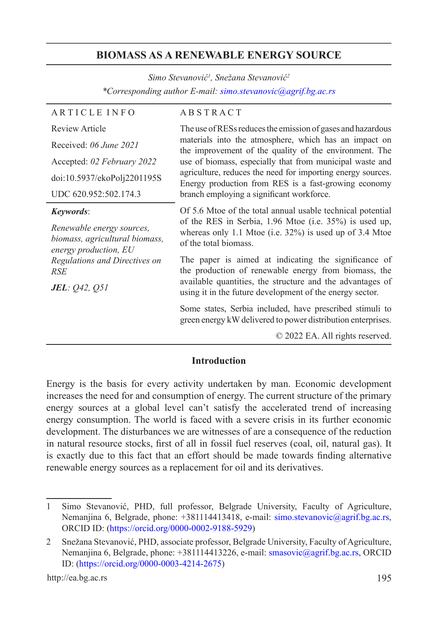# **BIOMASS AS A RENEWABLE ENERGY SOURCE**

*Simo Stevanović<sup>1</sup> , Snežana Stevanović<sup>2</sup> \*Corresponding author E-mail: simo.stevanovic@agrif.bg.ac.rs*

| <b>ARTICLE INFO</b>                                                                  | <b>ABSTRACT</b>                                                                                                                                                                                                                                                                                                                                                                                                                                       |
|--------------------------------------------------------------------------------------|-------------------------------------------------------------------------------------------------------------------------------------------------------------------------------------------------------------------------------------------------------------------------------------------------------------------------------------------------------------------------------------------------------------------------------------------------------|
| <b>Review Article</b>                                                                | The use of RESs reduces the emission of gases and hazardous<br>materials into the atmosphere, which has an impact on<br>the improvement of the quality of the environment. The<br>use of biomass, especially that from municipal waste and<br>agriculture, reduces the need for importing energy sources.<br>Energy production from RES is a fast-growing economy<br>branch employing a significant workforce.                                        |
| Received: 06 June 2021                                                               |                                                                                                                                                                                                                                                                                                                                                                                                                                                       |
| Accepted: 02 February 2022                                                           |                                                                                                                                                                                                                                                                                                                                                                                                                                                       |
| doi:10.5937/ekoPolj2201195S                                                          |                                                                                                                                                                                                                                                                                                                                                                                                                                                       |
| UDC 620.952:502.174.3                                                                |                                                                                                                                                                                                                                                                                                                                                                                                                                                       |
| <i>Keywords:</i>                                                                     | Of 5.6 Mtoe of the total annual usable technical potential<br>of the RES in Serbia, 1.96 Mtoe (i.e. 35%) is used up,<br>whereas only 1.1 Mtoe (i.e. $32\%$ ) is used up of 3.4 Mtoe<br>of the total biomass.<br>The paper is aimed at indicating the significance of<br>the production of renewable energy from biomass, the<br>available quantities, the structure and the advantages of<br>using it in the future development of the energy sector. |
| Renewable energy sources,<br>biomass, agricultural biomass,<br>energy production, EU |                                                                                                                                                                                                                                                                                                                                                                                                                                                       |
| Regulations and Directives on<br>RSE                                                 |                                                                                                                                                                                                                                                                                                                                                                                                                                                       |
| <b>JEL</b> : Q42, Q51                                                                |                                                                                                                                                                                                                                                                                                                                                                                                                                                       |
|                                                                                      | Some states, Serbia included, have prescribed stimuli to<br>green energy kW delivered to power distribution enterprises.                                                                                                                                                                                                                                                                                                                              |
|                                                                                      | © 2022 EA. All rights reserved.                                                                                                                                                                                                                                                                                                                                                                                                                       |

#### **Introduction**

Energy is the basis for every activity undertaken by man. Economic development increases the need for and consumption of energy. The current structure of the primary energy sources at a global level can't satisfy the accelerated trend of increasing energy consumption. The world is faced with a severe crisis in its further economic development. The disturbances we are witnesses of are a consequence of the reduction in natural resource stocks, first of all in fossil fuel reserves (coal, oil, natural gas). It is exactly due to this fact that an effort should be made towards finding alternative renewable energy sources as a replacement for oil and its derivatives.

<sup>1</sup> Simo Stevanović, PHD, full professor, Belgrade University, Faculty of Agriculture, Nemanjina 6, Belgrade, phone: +381114413418, e-mail: simo.stevanovic@agrif.bg.ac.rs, ORCID ID: (https://orcid.org/0000-0002-9188-5929)

<sup>2</sup> Snežana Stevanović, PHD, associate professor, Belgrade University, Faculty of Agriculture, Nemanjina 6, Belgrade, phone: +381114413226, e-mail: smasovic@agrif.bg.ac.rs, ORCID ID: (https://orcid.org/0000-0003-4214-2675)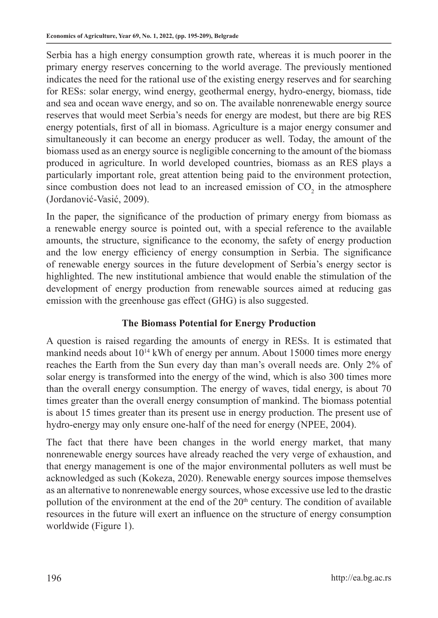Serbia has a high energy consumption growth rate, whereas it is much poorer in the primary energy reserves concerning to the world average. The previously mentioned indicates the need for the rational use of the existing energy reserves and for searching for RESs: solar energy, wind energy, geothermal energy, hydro-energy, biomass, tide and sea and ocean wave energy, and so on. The available nonrenewable energy source reserves that would meet Serbia's needs for energy are modest, but there are big RES energy potentials, first of all in biomass. Agriculture is a major energy consumer and simultaneously it can become an energy producer as well. Today, the amount of the biomass used as an energy source is negligible concerning to the amount of the biomass produced in agriculture. In world developed countries, biomass as an RES plays a particularly important role, great attention being paid to the environment protection, since combustion does not lead to an increased emission of  $CO<sub>2</sub>$  in the atmosphere (Jordanović-Vasić, 2009).

In the paper, the significance of the production of primary energy from biomass as a renewable energy source is pointed out, with a special reference to the available amounts, the structure, significance to the economy, the safety of energy production and the low energy efficiency of energy consumption in Serbia. The significance of renewable energy sources in the future development of Serbia's energy sector is highlighted. The new institutional ambience that would enable the stimulation of the development of energy production from renewable sources aimed at reducing gas emission with the greenhouse gas effect (GHG) is also suggested.

# **The Biomass Potential for Energy Production**

A question is raised regarding the amounts of energy in RESs. It is estimated that mankind needs about 1014 kWh of energy per annum. About 15000 times more energy reaches the Earth from the Sun every day than man's overall needs are. Only 2% of solar energy is transformed into the energy of the wind, which is also 300 times more than the overall energy consumption. The energy of waves, tidal energy, is about 70 times greater than the overall energy consumption of mankind. The biomass potential is about 15 times greater than its present use in energy production. The present use of hydro-energy may only ensure one-half of the need for energy (NPEE, 2004).

The fact that there have been changes in the world energy market, that many nonrenewable energy sources have already reached the very verge of exhaustion, and that energy management is one of the major environmental polluters as well must be acknowledged as such (Kokeza, 2020). Renewable energy sources impose themselves as an alternative to nonrenewable energy sources, whose excessive use led to the drastic pollution of the environment at the end of the 20<sup>th</sup> century. The condition of available resources in the future will exert an influence on the structure of energy consumption worldwide (Figure 1).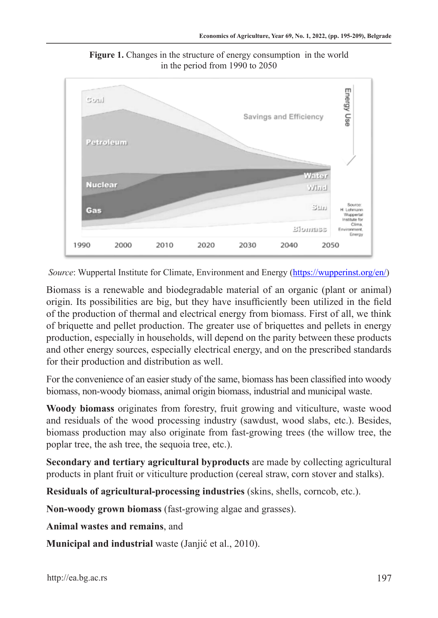

**Figure 1.** Changes in the structure of energy consumption in the world in the period from 1990 to 2050

*Source*: Wuppertal Institute for Climate, Environment and Energy (https://wupperinst.org/en/)

Biomass is a renewable and biodegradable material of an organic (plant or animal) origin. Its possibilities are big, but they have insufficiently been utilized in the field of the production of thermal and electrical energy from biomass. First of all, we think of briquette and pellet production. The greater use of briquettes and pellets in energy production, especially in households, will depend on the parity between these products and other energy sources, especially electrical energy, and on the prescribed standards for their production and distribution as well.

For the convenience of an easier study of the same, biomass has been classified into woody biomass, non-woody biomass, animal origin biomass, industrial and municipal waste.

**Woody biomass** originates from forestry, fruit growing and viticulture, waste wood and residuals of the wood processing industry (sawdust, wood slabs, etc.). Besides, biomass production may also originate from fast-growing trees (the willow tree, the poplar tree, the ash tree, the sequoia tree, etc.).

**Secondary and tertiary agricultural byproducts** are made by collecting agricultural products in plant fruit or viticulture production (cereal straw, corn stover and stalks).

**Residuals of agricultural-processing industries** (skins, shells, corncob, etc.).

**Non-woody grown biomass** (fast-growing algae and grasses).

**Animal wastes and remains**, and

**Municipal and industrial** waste (Janjić et al., 2010).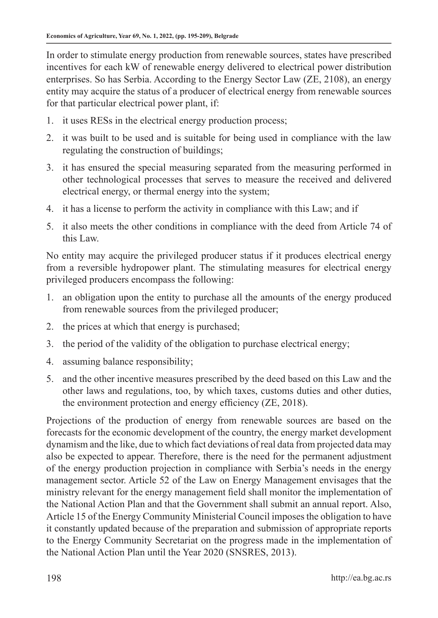In order to stimulate energy production from renewable sources, states have prescribed incentives for each kW of renewable energy delivered to electrical power distribution enterprises. So has Serbia. According to the Energy Sector Law (ZE, 2108), an energy entity may acquire the status of a producer of electrical energy from renewable sources for that particular electrical power plant, if:

- 1. it uses RESs in the electrical energy production process;
- 2. it was built to be used and is suitable for being used in compliance with the law regulating the construction of buildings;
- 3. it has ensured the special measuring separated from the measuring performed in other technological processes that serves to measure the received and delivered electrical energy, or thermal energy into the system;
- 4. it has a license to perform the activity in compliance with this Law; and if
- 5. it also meets the other conditions in compliance with the deed from Article 74 of this Law.

No entity may acquire the privileged producer status if it produces electrical energy from a reversible hydropower plant. The stimulating measures for electrical energy privileged producers encompass the following:

- 1. an obligation upon the entity to purchase all the amounts of the energy produced from renewable sources from the privileged producer;
- 2. the prices at which that energy is purchased;
- 3. the period of the validity of the obligation to purchase electrical energy;
- 4. assuming balance responsibility;
- 5. and the other incentive measures prescribed by the deed based on this Law and the other laws and regulations, too, by which taxes, customs duties and other duties, the environment protection and energy efficiency (ZE, 2018).

Projections of the production of energy from renewable sources are based on the forecasts for the economic development of the country, the energy market development dynamism and the like, due to which fact deviations of real data from projected data may also be expected to appear. Therefore, there is the need for the permanent adjustment of the energy production projection in compliance with Serbia's needs in the energy management sector. Article 52 of the Law on Energy Management envisages that the ministry relevant for the energy management field shall monitor the implementation of the National Action Plan and that the Government shall submit an annual report. Also, Article 15 of the Energy Community Ministerial Council imposes the obligation to have it constantly updated because of the preparation and submission of appropriate reports to the Energy Community Secretariat on the progress made in the implementation of the National Action Plan until the Year 2020 (SNSRES, 2013).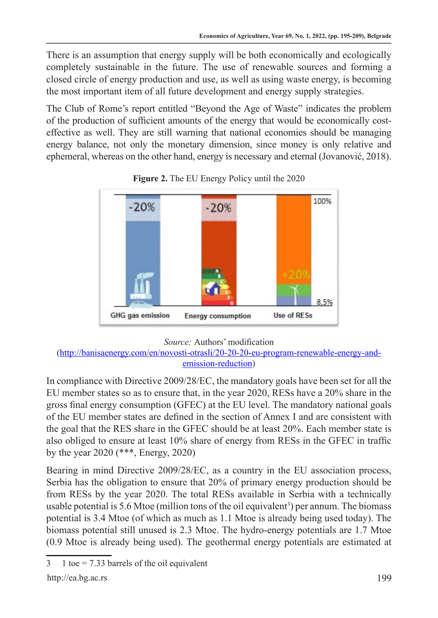There is an assumption that energy supply will be both economically and ecologically completely sustainable in the future. The use of renewable sources and forming a closed circle of energy production and use, as well as using waste energy, is becoming the most important item of all future development and energy supply strategies.

The Club of Rome's report entitled "Beyond the Age of Waste" indicates the problem of the production of sufficient amounts of the energy that would be economically costeffective as well. They are still warning that national economies should be managing energy balance, not only the monetary dimension, since money is only relative and ephemeral, whereas on the other hand, energy is necessary and eternal (Jovanović, 2018).



**Figure 2.** The EU Energy Policy until the 2020

# *Source:* Authors' modification

(http://banisaenergy.com/en/novosti-otrasli/20-20-20-eu-program-renewable-energy-andemission-reduction)

In compliance with Directive 2009/28/EC, the mandatory goals have been set for all the EU member states so as to ensure that, in the year 2020, RESs have a 20% share in the gross final energy consumption (GFEC) at the EU level. The mandatory national goals of the EU member states are defined in the section of Annex I and are consistent with the goal that the RES share in the GFEC should be at least 20%. Each member state is also obliged to ensure at least 10% share of energy from RESs in the GFEC in traffic by the year 2020 (\*\*\*, Energy, 2020)

Bearing in mind Directive 2009/28/EC, as a country in the EU association process, Serbia has the obligation to ensure that 20% of primary energy production should be from RESs by the year 2020. The total RESs available in Serbia with a technically usable potential is 5.6 Mtoe (million tons of the oil equivalent<sup>3</sup>) per annum. The biomass potential is 3.4 Mtoe (of which as much as 1.1 Mtoe is already being used today). The biomass potential still unused is 2.3 Mtoe. The hydro-energy potentials are 1.7 Mtoe (0.9 Mtoe is already being used). The geothermal energy potentials are estimated at

 $3 \t1$  toe = 7.33 barrels of the oil equivalent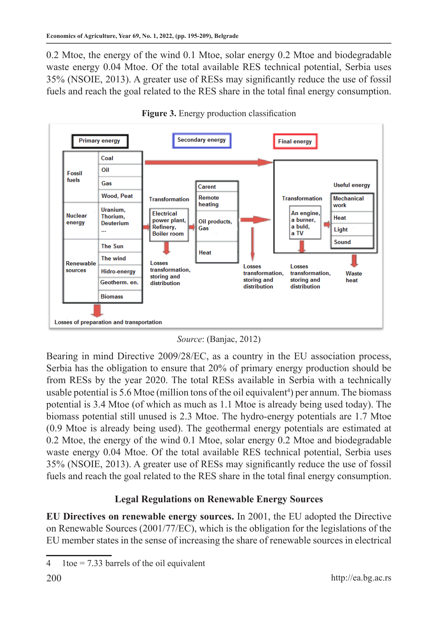0.2 Mtoe, the energy of the wind 0.1 Mtoe, solar energy 0.2 Mtoe and biodegradable waste energy 0.04 Mtoe. Of the total available RES technical potential, Serbia uses 35% (NSOIE, 2013). A greater use of RESs may significantly reduce the use of fossil fuels and reach the goal related to the RES share in the total final energy consumption.





*Source*: (Banjac, 2012)

Bearing in mind Directive 2009/28/EC, as a country in the EU association process, Serbia has the obligation to ensure that 20% of primary energy production should be from RESs by the year 2020. The total RESs available in Serbia with a technically usable potential is 5.6 Mtoe (million tons of the oil equivalent<sup>4</sup>) per annum. The biomass potential is 3.4 Mtoe (of which as much as 1.1 Mtoe is already being used today). The biomass potential still unused is 2.3 Mtoe. The hydro-energy potentials are 1.7 Mtoe (0.9 Mtoe is already being used). The geothermal energy potentials are estimated at 0.2 Mtoe, the energy of the wind 0.1 Mtoe, solar energy 0.2 Mtoe and biodegradable waste energy 0.04 Mtoe. Of the total available RES technical potential, Serbia uses 35% (NSOIE, 2013). A greater use of RESs may significantly reduce the use of fossil fuels and reach the goal related to the RES share in the total final energy consumption.

# **Legal Regulations on Renewable Energy Sources**

**EU Directives on renewable energy sources.** In 2001, the EU adopted the Directive on Renewable Sources (2001/77/EC), which is the obligation for the legislations of the EU member states in the sense of increasing the share of renewable sources in electrical

<sup>4 1</sup>toe =  $7.33$  barrels of the oil equivalent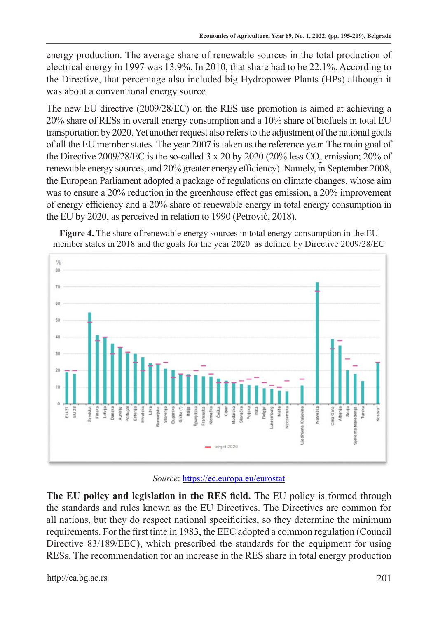energy production. The average share of renewable sources in the total production of electrical energy in 1997 was 13.9%. In 2010, that share had to be 22.1%. According to the Directive, that percentage also included big Hydropower Plants (HPs) although it was about a conventional energy source.

The new EU directive (2009/28/EC) on the RES use promotion is aimed at achieving a 20% share of RESs in overall energy consumption and a 10% share of biofuels in total EU transportation by 2020. Yet another request also refers to the adjustment of the national goals of all the EU member states. The year 2007 is taken as the reference year. The main goal of the Directive 2009/28/EC is the so-called 3 x 20 by 2020 (20% less  $CO_2$  emission; 20% of renewable energy sources, and 20% greater energy efficiency). Namely, in September 2008, the European Parliament adopted a package of regulations on climate changes, whose aim was to ensure a 20% reduction in the greenhouse effect gas emission, a 20% improvement of energy efficiency and a 20% share of renewable energy in total energy consumption in the EU by 2020, as perceived in relation to 1990 (Petrović, 2018).



**Figure 4.** The share of renewable energy sources in total energy consumption in the EU member states in 2018 and the goals for the year 2020 as defined by Directive 2009/28/EC

#### *Source*: https://ec.europa.eu/eurostat

**The EU policy and legislation in the RES field.** The EU policy is formed through the standards and rules known as the EU Directives. The Directives are common for all nations, but they do respect national specificities, so they determine the minimum requirements. For the first time in 1983, the EEC adopted a common regulation (Council Directive 83/189/EEC), which prescribed the standards for the equipment for using RESs. The recommendation for an increase in the RES share in total energy production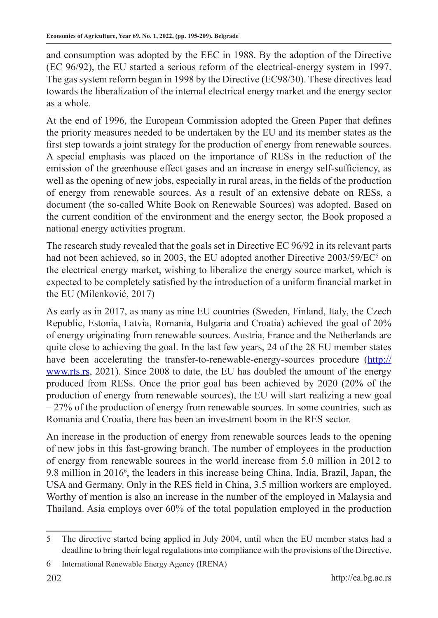and consumption was adopted by the EEC in 1988. By the adoption of the Directive (EC 96/92), the EU started a serious reform of the electrical-energy system in 1997. The gas system reform began in 1998 by the Directive (EC98/30). These directives lead towards the liberalization of the internal electrical energy market and the energy sector as a whole.

At the end of 1996, the European Commission adopted the Green Paper that defines the priority measures needed to be undertaken by the EU and its member states as the first step towards a joint strategy for the production of energy from renewable sources. A special emphasis was placed on the importance of RESs in the reduction of the emission of the greenhouse effect gases and an increase in energy self-sufficiency, as well as the opening of new jobs, especially in rural areas, in the fields of the production of energy from renewable sources. As a result of an extensive debate on RESs, a document (the so-called White Book on Renewable Sources) was adopted. Based on the current condition of the environment and the energy sector, the Book proposed a national energy activities program.

The research study revealed that the goals set in Directive EC 96/92 in its relevant parts had not been achieved, so in 2003, the EU adopted another Directive 2003/59/EC<sup>5</sup> on the electrical energy market, wishing to liberalize the energy source market, which is expected to be completely satisfied by the introduction of a uniform financial market in the EU (Milenković, 2017)

As early as in 2017, as many as nine EU countries (Sweden, Finland, Italy, the Czech Republic, Estonia, Latvia, Romania, Bulgaria and Croatia) achieved the goal of 20% of energy originating from renewable sources. Austria, France and the Netherlands are quite close to achieving the goal. In the last few years, 24 of the 28 EU member states have been accelerating the transfer-to-renewable-energy-sources procedure (http:// www.rts.rs, 2021). Since 2008 to date, the EU has doubled the amount of the energy produced from RESs. Once the prior goal has been achieved by 2020 (20% of the production of energy from renewable sources), the EU will start realizing a new goal  $-27%$  of the production of energy from renewable sources. In some countries, such as Romania and Croatia, there has been an investment boom in the RES sector.

An increase in the production of energy from renewable sources leads to the opening of new jobs in this fast-growing branch. The number of employees in the production of energy from renewable sources in the world increase from 5.0 million in 2012 to 9.8 million in 2016<sup>6</sup>, the leaders in this increase being China, India, Brazil, Japan, the USA and Germany. Only in the RES field in China, 3.5 million workers are employed. Worthy of mention is also an increase in the number of the employed in Malaysia and Thailand. Asia employs over 60% of the total population employed in the production

<sup>5</sup> The directive started being applied in July 2004, until when the EU member states had a deadline to bring their legal regulations into compliance with the provisions of the Directive.

<sup>6</sup> International Renewable Energy Agency (IRENA)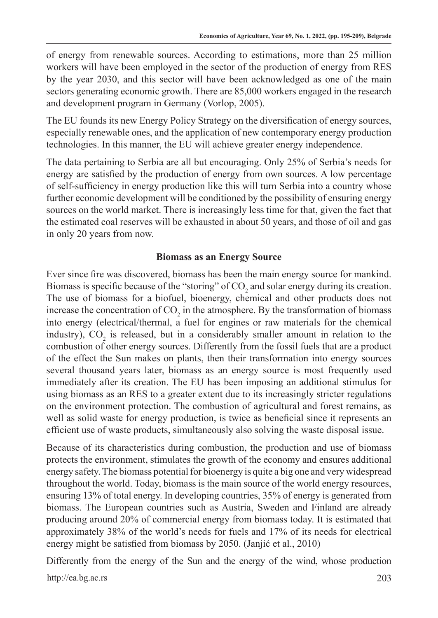of energy from renewable sources. According to estimations, more than 25 million workers will have been employed in the sector of the production of energy from RES by the year 2030, and this sector will have been acknowledged as one of the main sectors generating economic growth. There are 85,000 workers engaged in the research and development program in Germany (Vorlop, 2005).

The EU founds its new Energy Policy Strategy on the diversification of energy sources, especially renewable ones, and the application of new contemporary energy production technologies. In this manner, the EU will achieve greater energy independence.

The data pertaining to Serbia are all but encouraging. Only 25% of Serbia's needs for energy are satisfied by the production of energy from own sources. A low percentage of self-sufficiency in energy production like this will turn Serbia into a country whose further economic development will be conditioned by the possibility of ensuring energy sources on the world market. There is increasingly less time for that, given the fact that the estimated coal reserves will be exhausted in about 50 years, and those of oil and gas in only 20 years from now.

# **Biomass as an Energy Source**

Ever since fire was discovered, biomass has been the main energy source for mankind. Biomass is specific because of the "storing" of  $CO_2$  and solar energy during its creation. The use of biomass for a biofuel, bioenergy, chemical and other products does not increase the concentration of  $CO_2$  in the atmosphere. By the transformation of biomass into energy (electrical/thermal, a fuel for engines or raw materials for the chemical industry),  $CO_2$  is released, but in a considerably smaller amount in relation to the combustion of other energy sources. Differently from the fossil fuels that are a product of the effect the Sun makes on plants, then their transformation into energy sources several thousand years later, biomass as an energy source is most frequently used immediately after its creation. The EU has been imposing an additional stimulus for using biomass as an RES to a greater extent due to its increasingly stricter regulations on the environment protection. The combustion of agricultural and forest remains, as well as solid waste for energy production, is twice as beneficial since it represents an efficient use of waste products, simultaneously also solving the waste disposal issue.

Because of its characteristics during combustion, the production and use of biomass protects the environment, stimulates the growth of the economy and ensures additional energy safety. The biomass potential for bioenergy is quite a big one and very widespread throughout the world. Today, biomass is the main source of the world energy resources, ensuring 13% of total energy. In developing countries, 35% of energy is generated from biomass. The European countries such as Austria, Sweden and Finland are already producing around 20% of commercial energy from biomass today. It is estimated that approximately 38% of the world's needs for fuels and 17% of its needs for electrical energy might be satisfied from biomass by 2050. (Janjić et al., 2010)

Differently from the energy of the Sun and the energy of the wind, whose production

http://ea.bg.ac.rs 203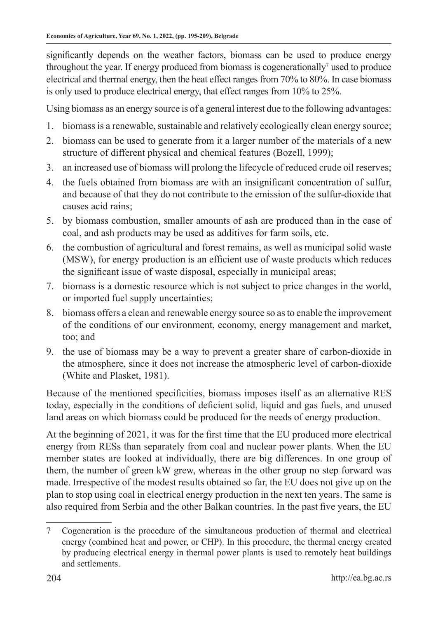significantly depends on the weather factors, biomass can be used to produce energy throughout the year. If energy produced from biomass is cogenerationally<sup>7</sup> used to produce electrical and thermal energy, then the heat effect ranges from 70% to 80%. In case biomass is only used to produce electrical energy, that effect ranges from 10% to 25%.

Using biomass as an energy source is of a general interest due to the following advantages:

- 1. biomass is a renewable, sustainable and relatively ecologically clean energy source;
- 2. biomass can be used to generate from it a larger number of the materials of a new structure of different physical and chemical features (Bozell, 1999);
- 3. an increased use of biomass will prolong the lifecycle of reduced crude oil reserves;
- 4. the fuels obtained from biomass are with an insignificant concentration of sulfur, and because of that they do not contribute to the emission of the sulfur-dioxide that causes acid rains;
- 5. by biomass combustion, smaller amounts of ash are produced than in the case of coal, and ash products may be used as additives for farm soils, etc.
- 6. the combustion of agricultural and forest remains, as well as municipal solid waste (MSW), for energy production is an efficient use of waste products which reduces the significant issue of waste disposal, especially in municipal areas;
- 7. biomass is a domestic resource which is not subject to price changes in the world, or imported fuel supply uncertainties;
- 8. biomass offers a clean and renewable energy source so as to enable the improvement of the conditions of our environment, economy, energy management and market, too; and
- 9. the use of biomass may be a way to prevent a greater share of carbon-dioxide in the atmosphere, since it does not increase the atmospheric level of carbon-dioxide (White and Plasket, 1981).

Because of the mentioned specificities, biomass imposes itself as an alternative RES today, especially in the conditions of deficient solid, liquid and gas fuels, and unused land areas on which biomass could be produced for the needs of energy production.

At the beginning of 2021, it was for the first time that the EU produced more electrical energy from RESs than separately from coal and nuclear power plants. When the EU member states are looked at individually, there are big differences. In one group of them, the number of green kW grew, whereas in the other group no step forward was made. Irrespective of the modest results obtained so far, the EU does not give up on the plan to stop using coal in electrical energy production in the next ten years. The same is also required from Serbia and the other Balkan countries. In the past five years, the EU

<sup>7</sup> Cogeneration is the procedure of the simultaneous production of thermal and electrical energy (combined heat and power, or CHP). In this procedure, the thermal energy created by producing electrical energy in thermal power plants is used to remotely heat buildings and settlements.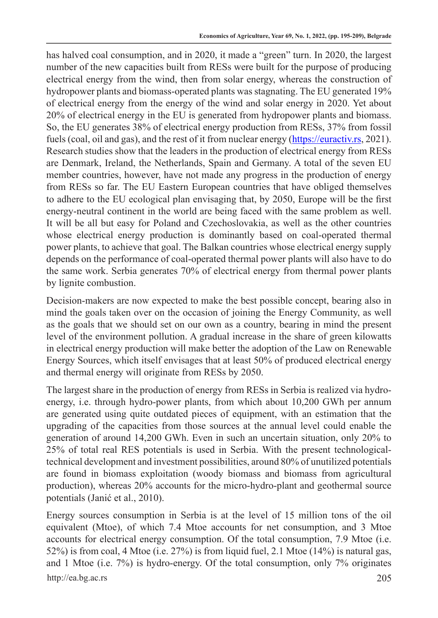has halved coal consumption, and in 2020, it made a "green" turn. In 2020, the largest number of the new capacities built from RESs were built for the purpose of producing electrical energy from the wind, then from solar energy, whereas the construction of hydropower plants and biomass-operated plants was stagnating. The EU generated 19% of electrical energy from the energy of the wind and solar energy in 2020. Yet about 20% of electrical energy in the EU is generated from hydropower plants and biomass. So, the EU generates 38% of electrical energy production from RESs, 37% from fossil fuels (coal, oil and gas), and the rest of it from nuclear energy (https://euractiv.rs, 2021). Research studies show that the leaders in the production of electrical energy from RESs are Denmark, Ireland, the Netherlands, Spain and Germany. A total of the seven EU member countries, however, have not made any progress in the production of energy from RESs so far. The EU Eastern European countries that have obliged themselves to adhere to the EU ecological plan envisaging that, by 2050, Europe will be the first energy-neutral continent in the world are being faced with the same problem as well. It will be all but easy for Poland and Czechoslovakia, as well as the other countries whose electrical energy production is dominantly based on coal-operated thermal power plants, to achieve that goal. The Balkan countries whose electrical energy supply depends on the performance of coal-operated thermal power plants will also have to do the same work. Serbia generates 70% of electrical energy from thermal power plants by lignite combustion.

Decision-makers are now expected to make the best possible concept, bearing also in mind the goals taken over on the occasion of joining the Energy Community, as well as the goals that we should set on our own as a country, bearing in mind the present level of the environment pollution. A gradual increase in the share of green kilowatts in electrical energy production will make better the adoption of the Law on Renewable Energy Sources, which itself envisages that at least 50% of produced electrical energy and thermal energy will originate from RESs by 2050.

The largest share in the production of energy from RESs in Serbia is realized via hydroenergy, i.e. through hydro-power plants, from which about 10,200 GWh per annum are generated using quite outdated pieces of equipment, with an estimation that the upgrading of the capacities from those sources at the annual level could enable the generation of around 14,200 GWh. Even in such an uncertain situation, only 20% to 25% of total real RES potentials is used in Serbia. With the present technologicaltechnical development and investment possibilities, around 80% of unutilized potentials are found in biomass exploitation (woody biomass and biomass from agricultural production), whereas 20% accounts for the micro-hydro-plant and geothermal source potentials (Janić et al., 2010).

http://ea.bg.ac.rs 205 Energy sources consumption in Serbia is at the level of 15 million tons of the oil equivalent (Mtoe), of which 7.4 Mtoe accounts for net consumption, and 3 Mtoe accounts for electrical energy consumption. Of the total consumption, 7.9 Mtoe (i.e. 52%) is from coal, 4 Mtoe (i.e. 27%) is from liquid fuel, 2.1 Mtoe (14%) is natural gas, and 1 Mtoe (i.e. 7%) is hydro-energy. Of the total consumption, only 7% originates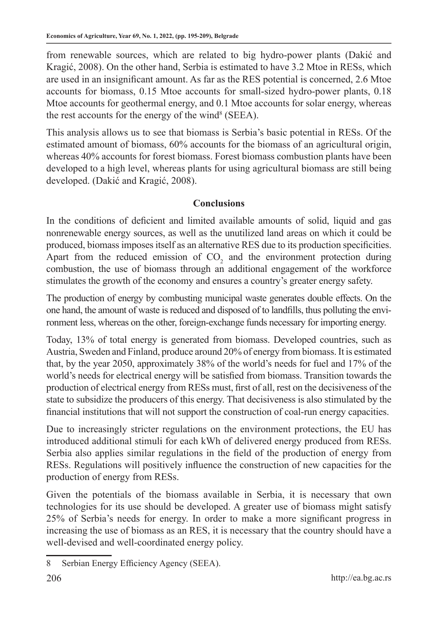from renewable sources, which are related to big hydro-power plants (Dakić and Kragić, 2008). On the other hand, Serbia is estimated to have 3.2 Mtoe in RESs, which are used in an insignificant amount. As far as the RES potential is concerned, 2.6 Mtoe accounts for biomass, 0.15 Mtoe accounts for small-sized hydro-power plants, 0.18 Mtoe accounts for geothermal energy, and 0.1 Mtoe accounts for solar energy, whereas the rest accounts for the energy of the wind<sup>8</sup> (SEEA).

This analysis allows us to see that biomass is Serbia's basic potential in RESs. Of the estimated amount of biomass, 60% accounts for the biomass of an agricultural origin, whereas 40% accounts for forest biomass. Forest biomass combustion plants have been developed to a high level, whereas plants for using agricultural biomass are still being developed. (Dakić and Kragić, 2008).

# **Conclusions**

In the conditions of deficient and limited available amounts of solid, liquid and gas nonrenewable energy sources, as well as the unutilized land areas on which it could be produced, biomass imposes itself as an alternative RES due to its production specificities. Apart from the reduced emission of  $CO<sub>2</sub>$  and the environment protection during combustion, the use of biomass through an additional engagement of the workforce stimulates the growth of the economy and ensures a country's greater energy safety.

The production of energy by combusting municipal waste generates double effects. On the one hand, the amount of waste is reduced and disposed of to landfills, thus polluting the environment less, whereas on the other, foreign-exchange funds necessary for importing energy.

Today, 13% of total energy is generated from biomass. Developed countries, such as Austria, Sweden and Finland, produce around 20% of energy from biomass. It is estimated that, by the year 2050, approximately 38% of the world's needs for fuel and 17% of the world's needs for electrical energy will be satisfied from biomass. Transition towards the production of electrical energy from RESs must, first of all, rest on the decisiveness of the state to subsidize the producers of this energy. That decisiveness is also stimulated by the financial institutions that will not support the construction of coal-run energy capacities.

Due to increasingly stricter regulations on the environment protections, the EU has introduced additional stimuli for each kWh of delivered energy produced from RESs. Serbia also applies similar regulations in the field of the production of energy from RESs. Regulations will positively influence the construction of new capacities for the production of energy from RESs.

Given the potentials of the biomass available in Serbia, it is necessary that own technologies for its use should be developed. A greater use of biomass might satisfy 25% of Serbia's needs for energy. In order to make a more significant progress in increasing the use of biomass as an RES, it is necessary that the country should have a well-devised and well-coordinated energy policy.

<sup>8</sup> Serbian Energy Efficiency Agency (SEEA).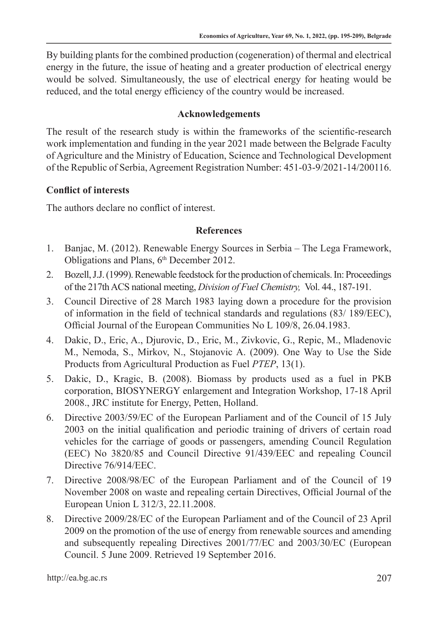By building plants for the combined production (cogeneration) of thermal and electrical energy in the future, the issue of heating and a greater production of electrical energy would be solved. Simultaneously, the use of electrical energy for heating would be reduced, and the total energy efficiency of the country would be increased.

#### **Acknowledgements**

The result of the research study is within the frameworks of the scientific-research work implementation and funding in the year 2021 made between the Belgrade Faculty of Agriculture and the Ministry of Education, Science and Technological Development of the Republic of Serbia, Agreement Registration Number: 451-03-9/2021-14/200116.

# **Conflict of interests**

The authors declare no conflict of interest.

### **References**

- 1. Banjac, M. (2012). Renewable Energy Sources in Serbia The Lega Framework, Obligations and Plans, 6<sup>th</sup> December 2012.
- 2. Bozell, J.J. (1999). Renewable feedstock for the production of chemicals. In: Proceedings of the 217th ACS national meeting, *Division of Fuel Chemistry,* Vol. 44., 187-191.
- 3. Council Directive of 28 March 1983 laying down a procedure for the provision of information in the field of technical standards and regulations (83/ 189/EEC), Official Journal of the European Communities No L 109/8, 26.04.1983.
- 4. Dakic, D., Eric, A., Djurovic, D., Eric, M., Zivkovic, G., Repic, M., Mladenovic M., Nemoda, S., Mirkov, N., Stojanovic A. (2009). One Way to Use the Side Products from Agricultural Production as Fuel *PTEP*, 13(1).
- 5. Dakic, D., Kragic, B. (2008). Biomass by products used as a fuel in PKB corporation, BIOSYNERGY enlargement and Integration Workshop, 17-18 April 2008., JRC institute for Energy, Petten, Holland.
- 6. Directive 2003/59/EC of the European Parliament and of the Council of 15 July 2003 on the initial qualification and periodic training of drivers of certain road vehicles for the carriage of goods or passengers, amending Council Regulation (EEC) No 3820/85 and Council Directive 91/439/EEC and repealing Council Directive 76/914/EEC.
- 7. Directive 2008/98/EC of the European Parliament and of the Council of 19 November 2008 on waste and repealing certain Directives, Official Journal of the European Union L 312/3, 22.11.2008.
- 8. Directive 2009/28/EC of the European Parliament and of the Council of 23 April 2009 on the promotion of the use of energy from renewable sources and amending and subsequently repealing Directives 2001/77/EC and 2003/30/EC (European Council. 5 June 2009. Retrieved 19 September 2016.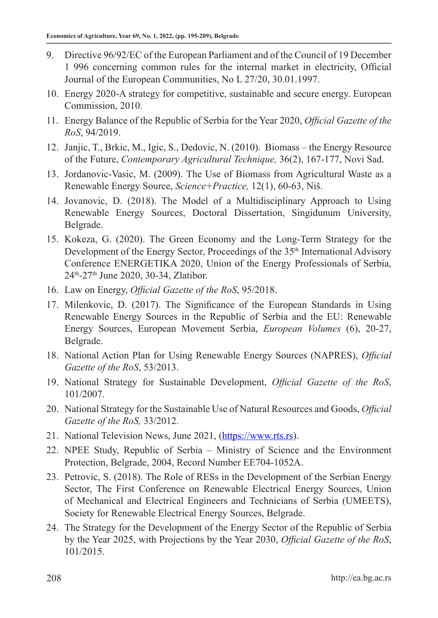- 9. Directive 96/92/EC of the European Parliament and of the Council of 19 December 1 996 concerning common rules for the internal market in electricity, Official Journal of the European Communities, No L 27/20, 30.01.1997.
- 10. Energy 2020-A strategy for competitive, sustainable and secure energy. European Commission, 2010.
- 11. Energy Balance of the Republic of Serbia for the Year 2020, *Official Gazette of the RoS*, 94/2019.
- 12. Janjic, T., Brkic, M., Igic, S., Dedovic, N. (2010). Biomass the Energy Resource of the Future, *Contemporary Agricultural Technique,* 36(2), 167-177, Novi Sad.
- 13. Jordanovic-Vasic, M. (2009). The Use of Biomass from Agricultural Waste as a Renewable Energy Source, *Science+Practice,* 12(1), 60-63, Niš.
- 14. Jovanovic, D. (2018). The Model of a Multidisciplinary Approach to Using Renewable Energy Sources, Doctoral Dissertation, Singidunum University, Belgrade.
- 15. Kokeza, G. (2020). The Green Economy and the Long-Term Strategy for the Development of the Energy Sector, Proceedings of the 35<sup>th</sup> International Advisory Conference ENERGETIKA 2020, Union of the Energy Professionals of Serbia, 24th-27th June 2020, 30-34, Zlatibor.
- 16. Law on Energy, *Official Gazette of the RoS*, 95/2018.
- 17. Milenkovic, D. (2017). The Significance of the European Standards in Using Renewable Energy Sources in the Republic of Serbia and the EU: Renewable Energy Sources, European Movement Serbia, *European Volumes* (6), 20-27, Belgrade.
- 18. National Action Plan for Using Renewable Energy Sources (NAPRES), *Official Gazette of the RoS*, 53/2013.
- 19. National Strategy for Sustainable Development, *Official Gazette of the RoS*, 101/2007.
- 20. National Strategy for the Sustainable Use of Natural Resources and Goods, *Official Gazette of the RoS,* 33/2012.
- 21. National Television News, June 2021, (https://www.rts.rs).
- 22. NPEE Study, Republic of Serbia Ministry of Science and the Environment Protection, Belgrade, 2004, Record Number EE704-1052A.
- 23. Petrovic, S. (2018). The Role of RESs in the Development of the Serbian Energy Sector, The First Conference on Renewable Electrical Energy Sources, Union of Mechanical and Electrical Engineers and Technicians of Serbia (UMEETS), Society for Renewable Electrical Energy Sources, Belgrade.
- 24. The Strategy for the Development of the Energy Sector of the Republic of Serbia by the Year 2025, with Projections by the Year 2030, *Official Gazette of the RoS*, 101/2015.